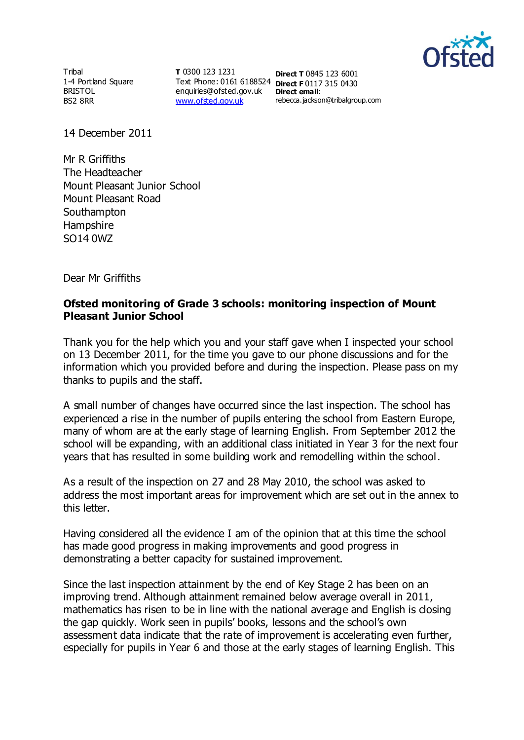

**Tribal** 1-4 Portland Square BRISTOL BS2 8RR

**T** 0300 123 1231 Text Phone: 0161 6188524 **Direct F** 0117 315 0430 enquiries@ofsted.gov.uk **Direct email**: [www.ofsted.gov.uk](http://www.ofsted.gov.uk/)

**Direct T** 0845 123 6001 rebecca.jackson@tribalgroup.com

14 December 2011

Mr R Griffiths The Headteacher Mount Pleasant Junior School Mount Pleasant Road **Southampton** Hampshire SO14 0WZ

Dear Mr Griffiths

## **Ofsted monitoring of Grade 3 schools: monitoring inspection of Mount Pleasant Junior School**

Thank you for the help which you and your staff gave when I inspected your school on 13 December 2011, for the time you gave to our phone discussions and for the information which you provided before and during the inspection. Please pass on my thanks to pupils and the staff.

A small number of changes have occurred since the last inspection. The school has experienced a rise in the number of pupils entering the school from Eastern Europe, many of whom are at the early stage of learning English. From September 2012 the school will be expanding, with an additional class initiated in Year 3 for the next four years that has resulted in some building work and remodelling within the school.

As a result of the inspection on 27 and 28 May 2010, the school was asked to address the most important areas for improvement which are set out in the annex to this letter.

Having considered all the evidence I am of the opinion that at this time the school has made good progress in making improvements and good progress in demonstrating a better capacity for sustained improvement.

Since the last inspection attainment by the end of Key Stage 2 has been on an improving trend. Although attainment remained below average overall in 2011, mathematics has risen to be in line with the national average and English is closing the gap quickly. Work seen in pupils' books, lessons and the school's own assessment data indicate that the rate of improvement is accelerating even further, especially for pupils in Year 6 and those at the early stages of learning English. This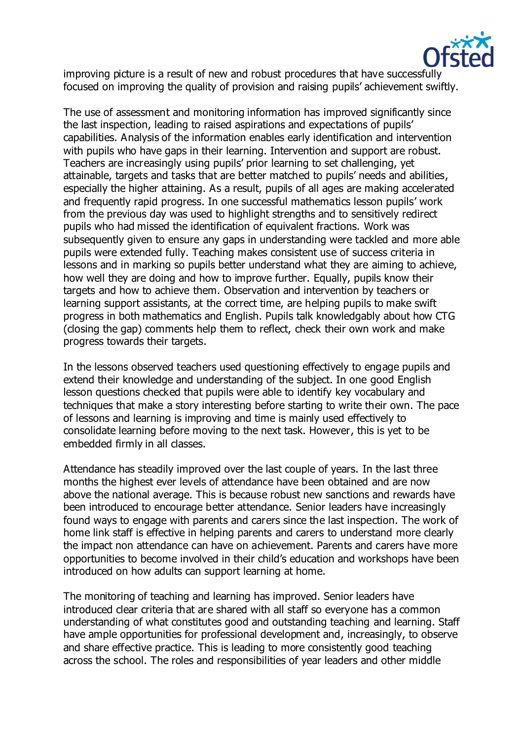

improving picture is a result of new and robust procedures that have successfully focused on improving the quality of provision and raising pupils' achievement swiftly.

The use of assessment and monitoring information has improved significantly since the last inspection, leading to raised aspirations and expectations of pupils' capabilities. Analysis of the information enables early identification and intervention with pupils who have gaps in their learning. Intervention and support are robust. Teachers are increasingly using pupils' prior learning to set challenging, yet attainable, targets and tasks that are better matched to pupils' needs and abilities, especially the higher attaining. As a result, pupils of all ages are making accelerated and frequently rapid progress. In one successful mathematics lesson pupils' work from the previous day was used to highlight strengths and to sensitively redirect pupils who had missed the identification of equivalent fractions. Work was subsequently given to ensure any gaps in understanding were tackled and more able pupils were extended fully. Teaching makes consistent use of success criteria in lessons and in marking so pupils better understand what they are aiming to achieve, how well they are doing and how to improve further. Equally, pupils know their targets and how to achieve them. Observation and intervention by teachers or learning support assistants, at the correct time, are helping pupils to make swift progress in both mathematics and English. Pupils talk knowledgably about how CTG (closing the gap) comments help them to reflect, check their own work and make progress towards their targets.

In the lessons observed teachers used questioning effectively to engage pupils and extend their knowledge and understanding of the subject. In one good English lesson questions checked that pupils were able to identify key vocabulary and techniques that make a story interesting before starting to write their own. The pace of lessons and learning is improving and time is mainly used effectively to consolidate learning before moving to the next task. However, this is yet to be embedded firmly in all classes.

Attendance has steadily improved over the last couple of years. In the last three months the highest ever levels of attendance have been obtained and are now above the national average. This is because robust new sanctions and rewards have been introduced to encourage better attendance. Senior leaders have increasingly found ways to engage with parents and carers since the last inspection. The work of home link staff is effective in helping parents and carers to understand more clearly the impact non attendance can have on achievement. Parents and carers have more opportunities to become involved in their child's education and workshops have been introduced on how adults can support learning at home.

The monitoring of teaching and learning has improved. Senior leaders have introduced clear criteria that are shared with all staff so everyone has a common understanding of what constitutes good and outstanding teaching and learning. Staff have ample opportunities for professional development and, increasingly, to observe and share effective practice. This is leading to more consistently good teaching across the school. The roles and responsibilities of year leaders and other middle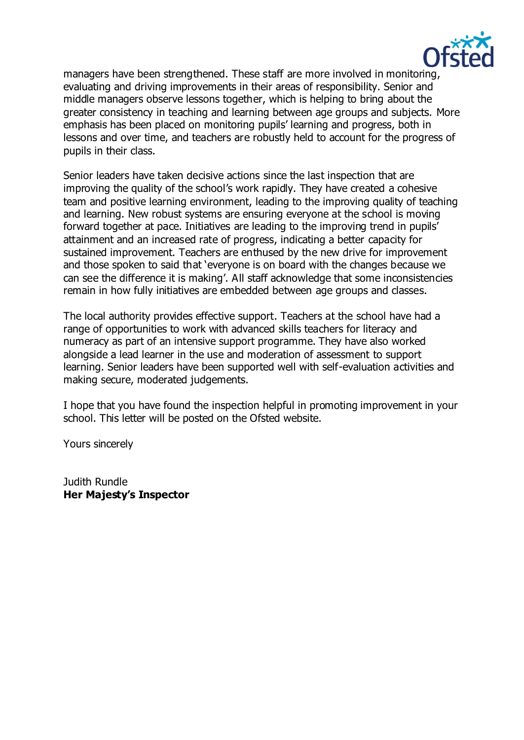

managers have been strengthened. These staff are more involved in monitoring, evaluating and driving improvements in their areas of responsibility. Senior and middle managers observe lessons together, which is helping to bring about the greater consistency in teaching and learning between age groups and subjects. More emphasis has been placed on monitoring pupils' learning and progress, both in lessons and over time, and teachers are robustly held to account for the progress of pupils in their class.

Senior leaders have taken decisive actions since the last inspection that are improving the quality of the school's work rapidly. They have created a cohesive team and positive learning environment, leading to the improving quality of teaching and learning. New robust systems are ensuring everyone at the school is moving forward together at pace. Initiatives are leading to the improving trend in pupils' attainment and an increased rate of progress, indicating a better capacity for sustained improvement. Teachers are enthused by the new drive for improvement and those spoken to said that 'everyone is on board with the changes because we can see the difference it is making'. All staff acknowledge that some inconsistencies remain in how fully initiatives are embedded between age groups and classes.

The local authority provides effective support. Teachers at the school have had a range of opportunities to work with advanced skills teachers for literacy and numeracy as part of an intensive support programme. They have also worked alongside a lead learner in the use and moderation of assessment to support learning. Senior leaders have been supported well with self-evaluation activities and making secure, moderated judgements.

I hope that you have found the inspection helpful in promoting improvement in your school. This letter will be posted on the Ofsted website.

Yours sincerely

Judith Rundle **Her Majesty's Inspector**